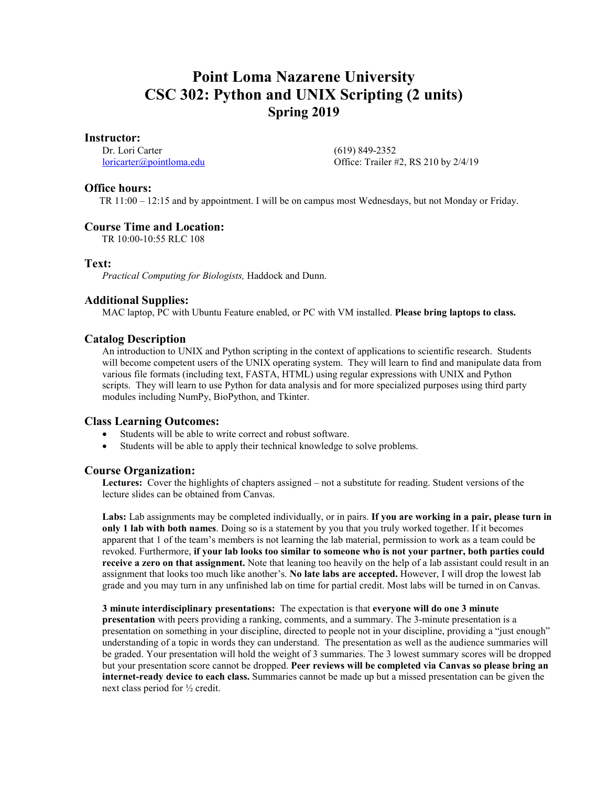# **Point Loma Nazarene University CSC 302: Python and UNIX Scripting (2 units) Spring 2019**

#### **Instructor:**

Dr. Lori Carter [loricarter@pointloma.edu](mailto:loricarter@pointloma.edu)  (619) 849-2352 Office: Trailer #2, RS 210 by 2/4/19

## **Office hours:**

TR 11:00 – 12:15 and by appointment. I will be on campus most Wednesdays, but not Monday or Friday.

## **Course Time and Location:**

TR 10:00-10:55 RLC 108

## **Text:**

*Practical Computing for Biologists,* Haddock and Dunn.

## **Additional Supplies:**

MAC laptop, PC with Ubuntu Feature enabled, or PC with VM installed. **Please bring laptops to class.**

## **Catalog Description**

An introduction to UNIX and Python scripting in the context of applications to scientific research. Students will become competent users of the UNIX operating system. They will learn to find and manipulate data from various file formats (including text, FASTA, HTML) using regular expressions with UNIX and Python scripts. They will learn to use Python for data analysis and for more specialized purposes using third party modules including NumPy, BioPython, and Tkinter.

## **Class Learning Outcomes:**

- Students will be able to write correct and robust software.
- Students will be able to apply their technical knowledge to solve problems.

## **Course Organization:**

**Lectures:** Cover the highlights of chapters assigned – not a substitute for reading. Student versions of the lecture slides can be obtained from Canvas.

**Labs:** Lab assignments may be completed individually, or in pairs. **If you are working in a pair, please turn in only 1 lab with both names**. Doing so is a statement by you that you truly worked together. If it becomes apparent that 1 of the team's members is not learning the lab material, permission to work as a team could be revoked. Furthermore, **if your lab looks too similar to someone who is not your partner, both parties could receive a zero on that assignment.** Note that leaning too heavily on the help of a lab assistant could result in an assignment that looks too much like another's. **No late labs are accepted.** However, I will drop the lowest lab grade and you may turn in any unfinished lab on time for partial credit. Most labs will be turned in on Canvas.

#### **3 minute interdisciplinary presentations:** The expectation is that **everyone will do one 3 minute**

**presentation** with peers providing a ranking, comments, and a summary. The 3-minute presentation is a presentation on something in your discipline, directed to people not in your discipline, providing a "just enough" understanding of a topic in words they can understand. The presentation as well as the audience summaries will be graded. Your presentation will hold the weight of 3 summaries. The 3 lowest summary scores will be dropped but your presentation score cannot be dropped. **Peer reviews will be completed via Canvas so please bring an internet-ready device to each class.** Summaries cannot be made up but a missed presentation can be given the next class period for ½ credit.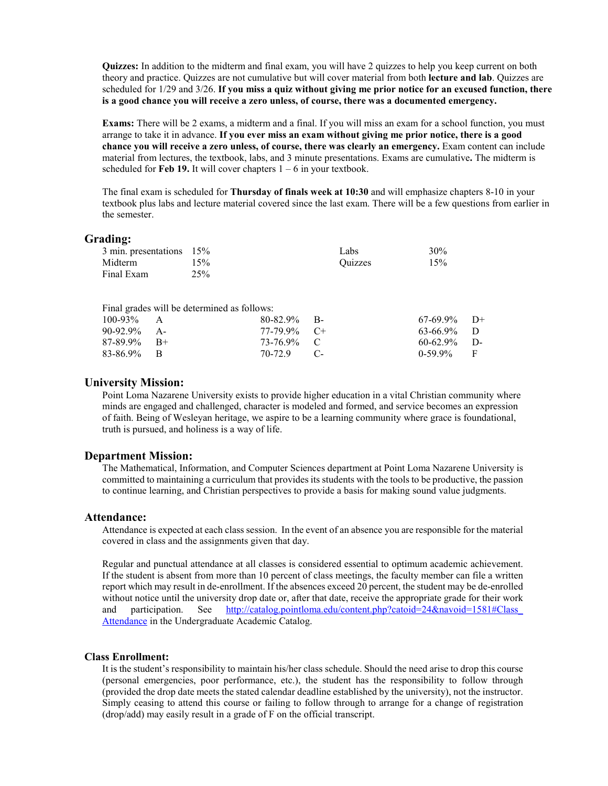**Quizzes:** In addition to the midterm and final exam, you will have 2 quizzes to help you keep current on both theory and practice. Quizzes are not cumulative but will cover material from both **lecture and lab**. Quizzes are scheduled for 1/29 and 3/26. **If you miss a quiz without giving me prior notice for an excused function, there is a good chance you will receive a zero unless, of course, there was a documented emergency.**

**Exams:** There will be 2 exams, a midterm and a final. If you will miss an exam for a school function, you must arrange to take it in advance. **If you ever miss an exam without giving me prior notice, there is a good chance you will receive a zero unless, of course, there was clearly an emergency.** Exam content can include material from lectures, the textbook, labs, and 3 minute presentations. Exams are cumulative**.** The midterm is scheduled for **Feb 19.** It will cover chapters  $1 - 6$  in your textbook.

The final exam is scheduled for **Thursday of finals week at 10:30** and will emphasize chapters 8-10 in your textbook plus labs and lecture material covered since the last exam. There will be a few questions from earlier in the semester.

#### **Grading:**

| $3 \text{ min.}$ presentations $15\%$ |     | Labs    | 30% |
|---------------------------------------|-----|---------|-----|
| Midterm                               | 15% | Ouizzes | 15% |
| Final Exam                            | 25% |         |     |

| $100-93\%$ A   |  | $67-69.9\%$ D+                                                                                              |  |
|----------------|--|-------------------------------------------------------------------------------------------------------------|--|
| $90-92.9\%$ A- |  | $63-66.9\%$ D                                                                                               |  |
| $87-89.9\%$ B+ |  | $60-62.9\%$ D-                                                                                              |  |
| 83-86.9% B     |  | $0-59.9\%$ F                                                                                                |  |
|                |  | Final grades will be determined as follows:<br>$80-82.9\%$ B-<br>$77-79.9\%$ C+<br>73-76.9% C<br>70-72.9 C- |  |

#### **University Mission:**

Point Loma Nazarene University exists to provide higher education in a vital Christian community where minds are engaged and challenged, character is modeled and formed, and service becomes an expression of faith. Being of Wesleyan heritage, we aspire to be a learning community where grace is foundational, truth is pursued, and holiness is a way of life.

#### **Department Mission:**

The Mathematical, Information, and Computer Sciences department at Point Loma Nazarene University is committed to maintaining a curriculum that provides its students with the tools to be productive, the passion to continue learning, and Christian perspectives to provide a basis for making sound value judgments.

#### **Attendance:**

Attendance is expected at each class session. In the event of an absence you are responsible for the material covered in class and the assignments given that day.

Regular and punctual attendance at all classes is considered essential to optimum academic achievement. If the student is absent from more than 10 percent of class meetings, the faculty member can file a written report which may result in de-enrollment. If the absences exceed 20 percent, the student may be de-enrolled without notice until the university drop date or, after that date, receive the appropriate grade for their work and participation. See http://catalog.pointloma.edu/content.php?catoid=24&navoid=1581#Class [Attendance](http://catalog.pointloma.edu/content.php?catoid=24&navoid=1581#Class_Attendance) in the Undergraduate Academic Catalog.

#### **Class Enrollment:**

It is the student's responsibility to maintain his/her class schedule. Should the need arise to drop this course (personal emergencies, poor performance, etc.), the student has the responsibility to follow through (provided the drop date meets the stated calendar deadline established by the university), not the instructor. Simply ceasing to attend this course or failing to follow through to arrange for a change of registration (drop/add) may easily result in a grade of F on the official transcript.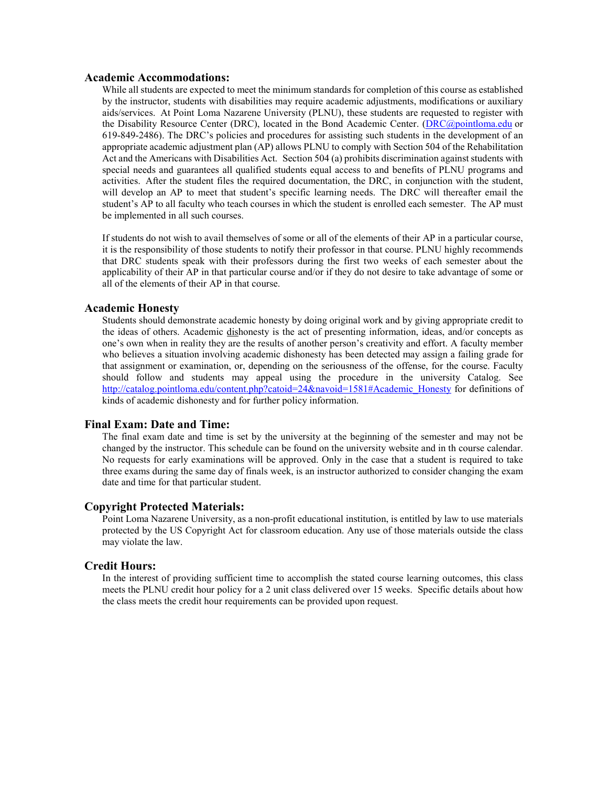## **Academic Accommodations:**

While all students are expected to meet the minimum standards for completion of this course as established by the instructor, students with disabilities may require academic adjustments, modifications or auxiliary aids/services. At Point Loma Nazarene University (PLNU), these students are requested to register with the Disability Resource Center (DRC), located in the Bond Academic Center. [\(DRC@pointloma.edu](mailto:DRC@pointloma.edu) or 619-849-2486). The DRC's policies and procedures for assisting such students in the development of an appropriate academic adjustment plan (AP) allows PLNU to comply with Section 504 of the Rehabilitation Act and the Americans with Disabilities Act. Section 504 (a) prohibits discrimination against students with special needs and guarantees all qualified students equal access to and benefits of PLNU programs and activities. After the student files the required documentation, the DRC, in conjunction with the student, will develop an AP to meet that student's specific learning needs. The DRC will thereafter email the student's AP to all faculty who teach courses in which the student is enrolled each semester. The AP must be implemented in all such courses.

If students do not wish to avail themselves of some or all of the elements of their AP in a particular course, it is the responsibility of those students to notify their professor in that course. PLNU highly recommends that DRC students speak with their professors during the first two weeks of each semester about the applicability of their AP in that particular course and/or if they do not desire to take advantage of some or all of the elements of their AP in that course.

#### **Academic Honesty**

Students should demonstrate academic honesty by doing original work and by giving appropriate credit to the ideas of others. Academic dishonesty is the act of presenting information, ideas, and/or concepts as one's own when in reality they are the results of another person's creativity and effort. A faculty member who believes a situation involving academic dishonesty has been detected may assign a failing grade for that assignment or examination, or, depending on the seriousness of the offense, for the course. Faculty should follow and students may appeal using the procedure in the university Catalog. See [http://catalog.pointloma.edu/content.php?catoid=24&navoid=1581#Academic\\_Honesty](http://catalog.pointloma.edu/content.php?catoid=24&navoid=1581#Academic_Honesty) for definitions of kinds of academic dishonesty and for further policy information.

#### **Final Exam: Date and Time:**

The final exam date and time is set by the university at the beginning of the semester and may not be changed by the instructor. This schedule can be found on the university website and in th course calendar. No requests for early examinations will be approved. Only in the case that a student is required to take three exams during the same day of finals week, is an instructor authorized to consider changing the exam date and time for that particular student.

#### **Copyright Protected Materials:**

Point Loma Nazarene University, as a non-profit educational institution, is entitled by law to use materials protected by the US Copyright Act for classroom education. Any use of those materials outside the class may violate the law.

#### **Credit Hours:**

In the interest of providing sufficient time to accomplish the stated course learning outcomes, this class meets the PLNU credit hour policy for a 2 unit class delivered over 15 weeks. Specific details about how the class meets the credit hour requirements can be provided upon request.